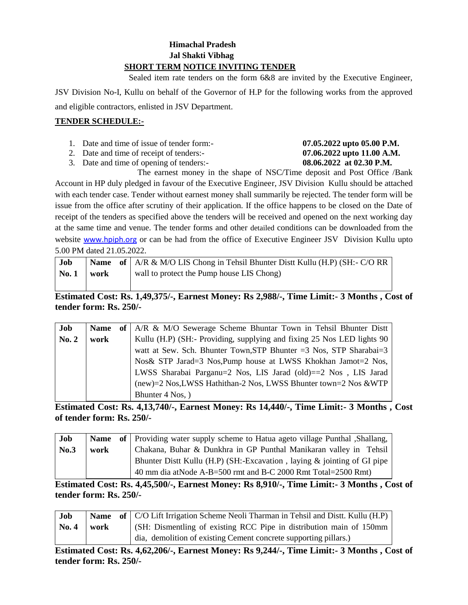#### **Himachal Pradesh Jal Shakti Vibhag SHORT TERM NOTICE INVITING TENDER**

Sealed item rate tenders on the form 6&8 are invited by the Executive Engineer,

JSV Division No-I, Kullu on behalf of the Governor of H.P for the following works from the approved and eligible contractors, enlisted in JSV Department.

#### **TENDER SCHEDULE:-**

- 1. Date and time of issue of tender form:- **07.05.2022 upto 05.00 P.M.**
- 2. Date and time of receipt of tenders:- **07.06.2022 upto 11.00 A.M.**
- 3. Date and time of opening of tenders:- **08.06.2022 at 02.30 P.M.**

The earnest money in the shape of NSC/Time deposit and Post Office /Bank Account in HP duly pledged in favour of the Executive Engineer, JSV Division Kullu should be attached with each tender case. Tender without earnest money shall summarily be rejected. The tender form will be issue from the office after scrutiny of their application. If the office happens to be closed on the Date of receipt of the tenders as specified above the tenders will be received and opened on the next working day at the same time and venue. The tender forms and other detailed conditions can be downloaded from the website [www.hpiph.org](http://www.hpiph.org/) or can be had from the office of Executive Engineer JSV Division Kullu upto 5.00 PM dated 21.05.2022.

| Job  |      | <b>Name</b> of $\mid$ A/R & M/O LIS Chong in Tehsil Bhunter Distr Kullu (H.P) (SH:- C/O RR |
|------|------|--------------------------------------------------------------------------------------------|
| No.1 | work | wall to protect the Pump house LIS Chong)                                                  |
|      |      |                                                                                            |

# **Estimated Cost: Rs. 1,49,375/-, Earnest Money: Rs 2,988/-, Time Limit:- 3 Months , Cost of tender form: Rs. 250/-**

| Job   | <b>Name</b> | of   A/R & M/O Sewerage Scheme Bhuntar Town in Tehsil Bhunter Distt     |
|-------|-------------|-------------------------------------------------------------------------|
| No. 2 | work        | Kullu (H.P) (SH:- Providing, supplying and fixing 25 Nos LED lights 90  |
|       |             | watt at Sew. Sch. Bhunter Town, STP Bhunter $=3$ Nos, STP Sharabai $=3$ |
|       |             | Nos & STP Jarad=3 Nos, Pump house at LWSS Khokhan Jamot=2 Nos,          |
|       |             | LWSS Sharabai Parganu=2 Nos, LIS Jarad (old)==2 Nos, LIS Jarad          |
|       |             | (new)=2 Nos, LWSS Hathithan-2 Nos, LWSS Bhunter town=2 Nos & WTP        |
|       |             | Bhunter 4 Nos, )                                                        |

**Estimated Cost: Rs. 4,13,740/-, Earnest Money: Rs 14,440/-, Time Limit:- 3 Months , Cost of tender form: Rs. 250/-**

| Job  |      | <b>Name</b> of Providing water supply scheme to Hatua ageto village Punthal , Shallang, |
|------|------|-----------------------------------------------------------------------------------------|
| No.3 | work | Chakana, Buhar & Dunkhra in GP Punthal Manikaran valley in Tehsil                       |
|      |      | Bhunter Dist Kullu (H.P) (SH:-Excavation, laying $\&$ jointing of GI pipe               |
|      |      | 40 mm dia at Node A-B=500 rmt and B-C 2000 Rmt Total=2500 Rmt)                          |

**Estimated Cost: Rs. 4,45,500/-, Earnest Money: Rs 8,910/-, Time Limit:- 3 Months , Cost of tender form: Rs. 250/-**

| Job   |      | <b>Name</b> of   C/O Lift Irrigation Scheme Neoli Tharman in Tehsil and Distt. Kullu (H.P) |
|-------|------|--------------------------------------------------------------------------------------------|
| No. 4 | work | (SH: Dismentling of existing RCC Pipe in distribution main of 150mm                        |
|       |      | dia, demolition of existing Cement concrete supporting pillars.)                           |

**Estimated Cost: Rs. 4,62,206/-, Earnest Money: Rs 9,244/-, Time Limit:- 3 Months , Cost of tender form: Rs. 250/-**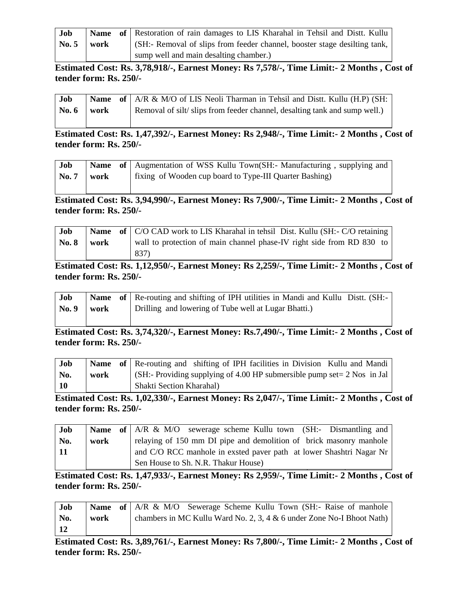| Job             |      | <b>Name</b> of Restoration of rain damages to LIS Kharahal in Tehsil and Distt. Kullu |
|-----------------|------|---------------------------------------------------------------------------------------|
| $\mathbf{No.}5$ | work | (SH:- Removal of slips from feeder channel, booster stage desilting tank,             |
|                 |      | sump well and main desalting chamber.)                                                |

**Estimated Cost: Rs. 3,78,918/-, Earnest Money: Rs 7,578/-, Time Limit:- 2 Months , Cost of tender form: Rs. 250/-**

| Job                     |  | <b>Name</b> of $A/R \& M/O$ of LIS Neoli Tharman in Tehsil and Distt. Kullu (H.P) (SH: |
|-------------------------|--|----------------------------------------------------------------------------------------|
| $\sqrt{6}$ No. 6   work |  | Removal of silt/slips from feeder channel, desalting tank and sump well.)              |
|                         |  |                                                                                        |

**Estimated Cost: Rs. 1,47,392/-, Earnest Money: Rs 2,948/-, Time Limit:- 2 Months , Cost of tender form: Rs. 250/-**

| Job   |      | Name of   Augmentation of WSS Kullu Town(SH:- Manufacturing, supplying and |
|-------|------|----------------------------------------------------------------------------|
| No. 7 | work | fixing of Wooden cup board to Type-III Quarter Bashing)                    |

**Estimated Cost: Rs. 3,94,990/-, Earnest Money: Rs 7,900/-, Time Limit:- 2 Months , Cost of tender form: Rs. 250/-**

| Job             |  | <b>Name</b> of C/O CAD work to LIS Kharahal in tehsil Dist. Kullu (SH:- C/O retaining |
|-----------------|--|---------------------------------------------------------------------------------------|
| $\sqrt{8}$ work |  | wall to protection of main channel phase-IV right side from RD 830 to                 |
|                 |  | 837)                                                                                  |

### **Estimated Cost: Rs. 1,12,950/-, Earnest Money: Rs 2,259/-, Time Limit:- 2 Months , Cost of tender form: Rs. 250/-**

| Job   |      | <b>Name</b> of Re-routing and shifting of IPH utilities in Mandi and Kullu Distt. (SH:- |
|-------|------|-----------------------------------------------------------------------------------------|
| No. 9 | work | Drilling and lowering of Tube well at Lugar Bhatti.)                                    |
|       |      |                                                                                         |

**Estimated Cost: Rs. 3,74,320/-, Earnest Money: Rs.7,490/-, Time Limit:- 2 Months , Cost of tender form: Rs. 250/-**

| <b>Job</b> |      | <b>Name</b> of Re-routing and shifting of IPH facilities in Division Kullu and Mandi |
|------------|------|--------------------------------------------------------------------------------------|
| No.        | work | $\vert$ (SH:- Providing supplying of 4.00 HP submersible pump set = 2 Nos in Jal     |
| $\vert$ 10 |      | <b>Shakti Section Kharahal</b> )                                                     |

**Estimated Cost: Rs. 1,02,330/-, Earnest Money: Rs 2,047/-, Time Limit:- 2 Months , Cost of tender form: Rs. 250/-**

| Job  |      | <b>Name</b> of $AR \& M/O$ sewerage scheme Kullu town (SH:- Dismantling and |  |
|------|------|-----------------------------------------------------------------------------|--|
| No.  | work | relaying of 150 mm DI pipe and demolition of brick masonry manhole          |  |
| - 11 |      | and C/O RCC manhole in exsted paver path at lower Shashtri Nagar Nr         |  |
|      |      | Sen House to Sh. N.R. Thakur House)                                         |  |

**Estimated Cost: Rs. 1,47,933/-, Earnest Money: Rs 2,959/-, Time Limit:- 2 Months , Cost of tender form: Rs. 250/-**

| Job |      | <b>Name of</b> A/R & M/O Sewerage Scheme Kullu Town (SH:- Raise of manhole |
|-----|------|----------------------------------------------------------------------------|
| No. | work | chambers in MC Kullu Ward No. 2, 3, 4 $\&$ 6 under Zone No-I Bhoot Nath)   |
| 12  |      |                                                                            |

**Estimated Cost: Rs. 3,89,761/-, Earnest Money: Rs 7,800/-, Time Limit:- 2 Months , Cost of tender form: Rs. 250/-**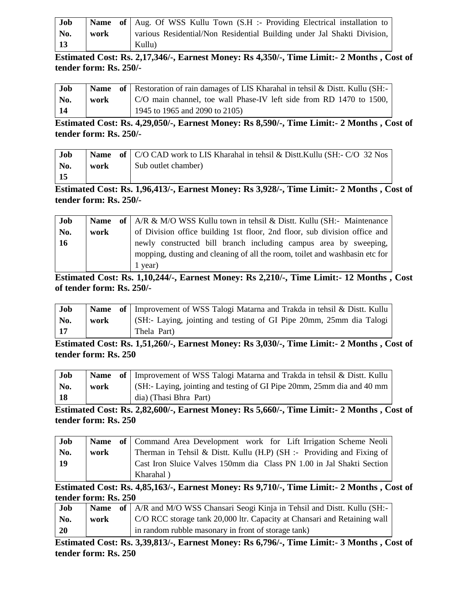| Job           |      | <b>Name of</b> Aug. Of WSS Kullu Town (S.H :- Providing Electrical installation to |
|---------------|------|------------------------------------------------------------------------------------|
| No.           | work | various Residential/Non Residential Building under Jal Shakti Division,            |
| <sup>13</sup> |      | Kullu)                                                                             |

**Estimated Cost: Rs. 2,17,346/-, Earnest Money: Rs 4,350/-, Time Limit:- 2 Months , Cost of tender form: Rs. 250/-**

| Job |      | <b>Name</b> of Restoration of rain damages of LIS Kharahal in tehsil & Dist. Kullu (SH:- |
|-----|------|------------------------------------------------------------------------------------------|
| No. | work | C/O main channel, toe wall Phase-IV left side from RD 1470 to 1500,                      |
| 14  |      | 1945 to 1965 and 2090 to 2105)                                                           |

**Estimated Cost: Rs. 4,29,050/-, Earnest Money: Rs 8,590/-, Time Limit:- 2 Months , Cost of tender form: Rs. 250/-**

| Job       |      | <b>Name</b> of   C/O CAD work to LIS Kharahal in tehsil & Distt. Kullu (SH:- C/O 32 Nos |
|-----------|------|-----------------------------------------------------------------------------------------|
| No.       | work | Sub outlet chamber)                                                                     |
| <b>15</b> |      |                                                                                         |

**Estimated Cost: Rs. 1,96,413/-, Earnest Money: Rs 3,928/-, Time Limit:- 2 Months , Cost of tender form: Rs. 250/-**

| Job       | <b>Name</b> | of $A/R \& M/O$ WSS Kullu town in tehsil $\&$ Distt. Kullu (SH:- Maintenance |
|-----------|-------------|------------------------------------------------------------------------------|
| No.       | work        | of Division office building 1st floor, 2nd floor, sub division office and    |
| <b>16</b> |             | newly constructed bill branch including campus area by sweeping,             |
|           |             | mopping, dusting and cleaning of all the room, toilet and washbasin etc for  |
|           |             | 1 year)                                                                      |

**Estimated Cost: Rs. 1,10,244/-, Earnest Money: Rs 2,210/-, Time Limit:- 12 Months , Cost of tender form: Rs. 250/-**

| Job        |      | <b>Name</b> of Improvement of WSS Talogi Matarna and Trakda in tehsil & Distt. Kullu |
|------------|------|--------------------------------------------------------------------------------------|
| No.        | work | (SH:- Laying, jointing and testing of GI Pipe 20mm, 25mm dia Talogi                  |
| $\vert$ 17 |      | Thela Part)                                                                          |

**Estimated Cost: Rs. 1,51,260/-, Earnest Money: Rs 3,030/-, Time Limit:- 2 Months , Cost of tender form: Rs. 250**

| Job |      | Name of   Improvement of WSS Talogi Matarna and Trakda in tehsil & Distt. Kullu |
|-----|------|---------------------------------------------------------------------------------|
| No. | work | (SH:- Laying, jointing and testing of GI Pipe 20mm, 25mm dia and 40 mm          |
| 18  |      | dia) (Thasi Bhra Part)                                                          |

**Estimated Cost: Rs. 2,82,600/-, Earnest Money: Rs 5,660/-, Time Limit:- 2 Months , Cost of tender form: Rs. 250**

| Job |      | <b>Name of</b> Command Area Development work for Lift Irrigation Scheme Neoli |
|-----|------|-------------------------------------------------------------------------------|
| No. | work | Therman in Tehsil & Distt. Kullu $(H.P)$ (SH :- Providing and Fixing of       |
| -19 |      | Cast Iron Sluice Valves 150mm dia Class PN 1.00 in Jal Shakti Section         |
|     |      | Kharahal)                                                                     |

**Estimated Cost: Rs. 4,85,163/-, Earnest Money: Rs 9,710/-, Time Limit:- 2 Months , Cost of tender form: Rs. 250**

| Job       |      | <b>Name</b> of   A/R and M/O WSS Chansari Seogi Kinja in Tehsil and Distt. Kullu (SH:- |
|-----------|------|----------------------------------------------------------------------------------------|
| No.       | work | C/O RCC storage tank 20,000 ltr. Capacity at Chansari and Retaining wall               |
| <b>20</b> |      | in random rubble masonary in front of storage tank)                                    |

**Estimated Cost: Rs. 3,39,813/-, Earnest Money: Rs 6,796/-, Time Limit:- 3 Months , Cost of tender form: Rs. 250**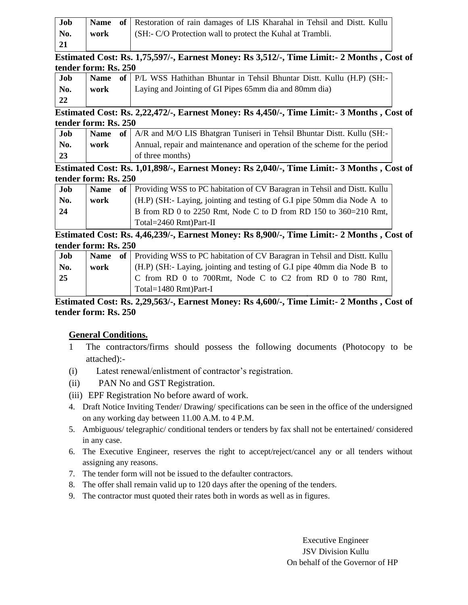| Job         |      | Name of Restoration of rain damages of LIS Kharahal in Tehsil and Distt. Kullu |
|-------------|------|--------------------------------------------------------------------------------|
| No.         | work | $\vert$ (SH:- C/O Protection wall to protect the Kuhal at Trambli.             |
| $\sqrt{21}$ |      |                                                                                |

#### **Estimated Cost: Rs. 1,75,597/-, Earnest Money: Rs 3,512/-, Time Limit:- 2 Months , Cost of tender form: Rs. 250**

| Job |      | Name of P/L WSS Hathithan Bhuntar in Tehsil Bhuntar Distt. Kullu (H.P) (SH:- |
|-----|------|------------------------------------------------------------------------------|
| No. | work | Laying and Jointing of GI Pipes 65mm dia and 80mm dia)                       |
| -22 |      |                                                                              |

#### **Estimated Cost: Rs. 2,22,472/-, Earnest Money: Rs 4,450/-, Time Limit:- 3 Months , Cost of tender form: Rs. 250**

| Job              |      | <b>Name</b> of $\mid$ A/R and M/O LIS Bhatgran Tuniseri in Tehsil Bhuntar Distt. Kullu (SH:- |
|------------------|------|----------------------------------------------------------------------------------------------|
| No.              | work | Annual, repair and maintenance and operation of the scheme for the period                    |
| $\vert 23 \vert$ |      | of three months)                                                                             |

**Estimated Cost: Rs. 1,01,898/-, Earnest Money: Rs 2,040/-, Time Limit:- 3 Months , Cost of tender form: Rs. 250**

| Job |      | <b>Name</b> of Providing WSS to PC habitation of CV Baragran in Tehsil and Dist. Kullu |
|-----|------|----------------------------------------------------------------------------------------|
| No. | work | (H.P) (SH:- Laying, jointing and testing of G.I pipe 50mm dia Node A to                |
| 24  |      | B from RD 0 to 2250 Rmt, Node C to D from RD 150 to 360=210 Rmt,                       |
|     |      | Total= $2460$ Rmt)Part-II                                                              |

**Estimated Cost: Rs. 4,46,239/-, Earnest Money: Rs 8,900/-, Time Limit:- 2 Months , Cost of tender form: Rs. 250**

| Job         |      | <b>Name</b> of Providing WSS to PC habitation of CV Baragran in Tehsil and Dist. Kullu |
|-------------|------|----------------------------------------------------------------------------------------|
| No.         | work | $\mid$ (H.P) (SH:- Laying, jointing and testing of G.I pipe 40mm dia Node B to         |
| $\sqrt{25}$ |      | C from RD 0 to 700Rmt, Node C to C2 from RD 0 to 780 Rmt,                              |
|             |      | Total=1480 Rmt)Part-I                                                                  |

# **Estimated Cost: Rs. 2,29,563/-, Earnest Money: Rs 4,600/-, Time Limit:- 2 Months , Cost of tender form: Rs. 250**

# **General Conditions.**

- 1 The contractors/firms should possess the following documents (Photocopy to be attached):-
- (i) Latest renewal/enlistment of contractor's registration.
- (ii) PAN No and GST Registration.
- (iii) EPF Registration No before award of work.
- 4. Draft Notice Inviting Tender/ Drawing/ specifications can be seen in the office of the undersigned on any working day between 11.00 A.M. to 4 P.M.
- 5. Ambiguous/ telegraphic/ conditional tenders or tenders by fax shall not be entertained/ considered in any case.
- 6. The Executive Engineer, reserves the right to accept/reject/cancel any or all tenders without assigning any reasons.
- 7. The tender form will not be issued to the defaulter contractors.
- 8. The offer shall remain valid up to 120 days after the opening of the tenders.
- 9. The contractor must quoted their rates both in words as well as in figures.

Executive Engineer JSV Division Kullu On behalf of the Governor of HP